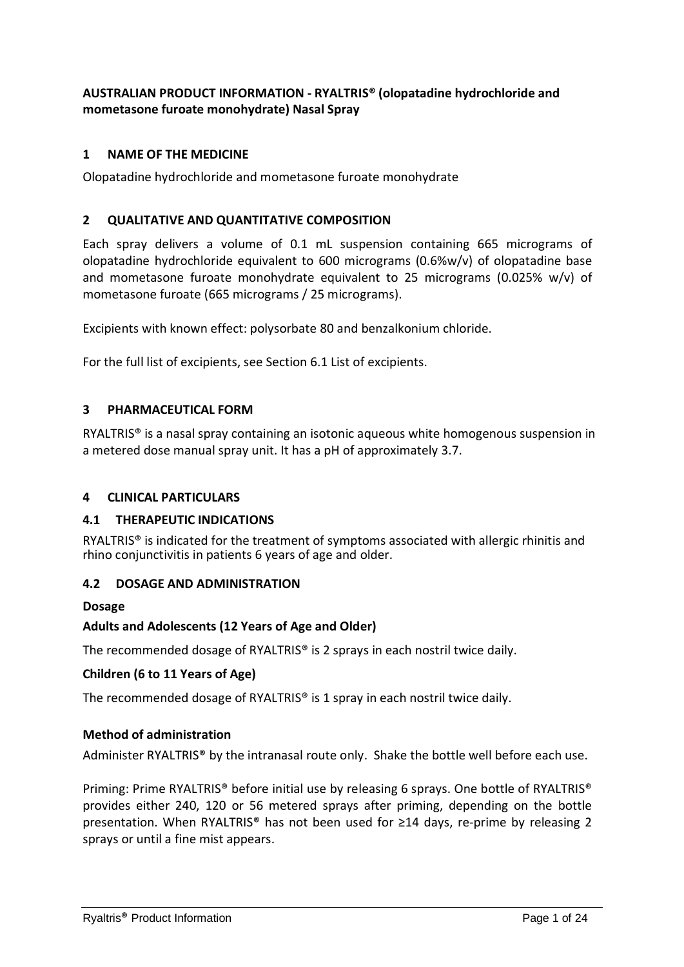### **AUSTRALIAN PRODUCT INFORMATION - RYALTRIS® (olopatadine hydrochloride and mometasone furoate monohydrate) Nasal Spray**

### **1 NAME OF THE MEDICINE**

Olopatadine hydrochloride and mometasone furoate monohydrate

#### **2 QUALITATIVE AND QUANTITATIVE COMPOSITION**

Each spray delivers a volume of 0.1 mL suspension containing 665 micrograms of olopatadine hydrochloride equivalent to 600 micrograms (0.6%w/v) of olopatadine base and mometasone furoate monohydrate equivalent to 25 micrograms (0.025% w/v) of mometasone furoate (665 micrograms / 25 micrograms).

Excipients with known effect: polysorbate 80 and benzalkonium chloride.

For the full list of excipients, see Section 6.1 List of excipients.

#### **3 PHARMACEUTICAL FORM**

RYALTRIS® is a nasal spray containing an isotonic aqueous white homogenous suspension in a metered dose manual spray unit. It has a pH of approximately 3.7.

#### **4 CLINICAL PARTICULARS**

#### **4.1 THERAPEUTIC INDICATIONS**

RYALTRIS® is indicated for the treatment of symptoms associated with allergic rhinitis and rhino conjunctivitis in patients 6 years of age and older.

#### **4.2 DOSAGE AND ADMINISTRATION**

#### **Dosage**

#### **Adults and Adolescents (12 Years of Age and Older)**

The recommended dosage of RYALTRIS® is 2 sprays in each nostril twice daily.

#### **Children (6 to 11 Years of Age)**

The recommended dosage of RYALTRIS® is 1 spray in each nostril twice daily.

#### **Method of administration**

Administer RYALTRIS® by the intranasal route only. Shake the bottle well before each use.

Priming: Prime RYALTRIS® before initial use by releasing 6 sprays. One bottle of RYALTRIS® provides either 240, 120 or 56 metered sprays after priming, depending on the bottle presentation. When RYALTRIS<sup>®</sup> has not been used for ≥14 days, re-prime by releasing 2 sprays or until a fine mist appears.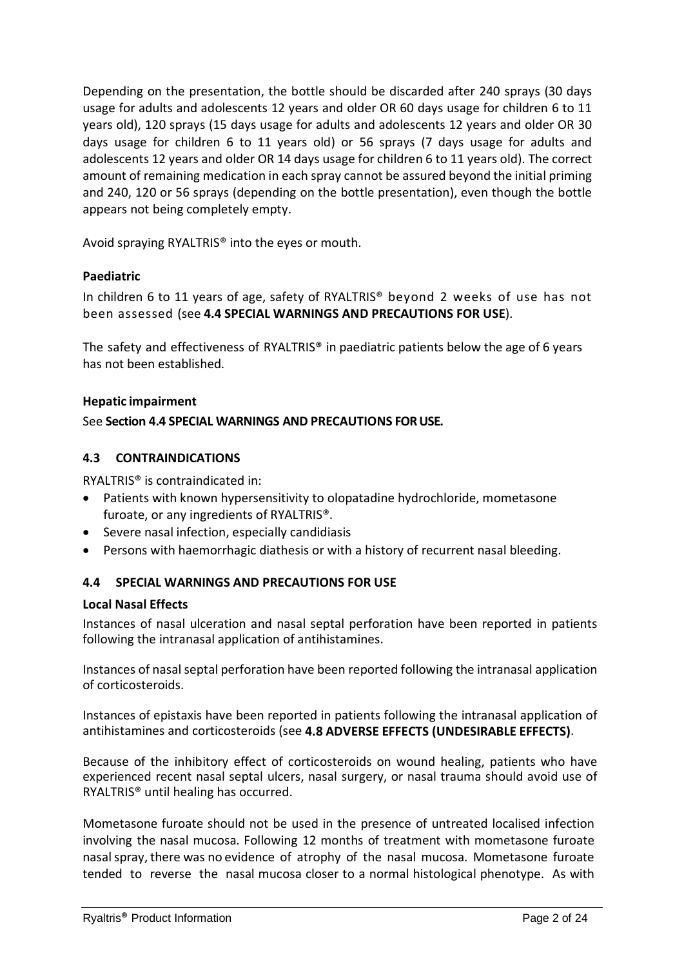Depending on the presentation, the bottle should be discarded after 240 sprays (30 days usage for adults and adolescents 12 years and older OR 60 days usage for children 6 to 11 years old), 120 sprays (15 days usage for adults and adolescents 12 years and older OR 30 days usage for children 6 to 11 years old) or 56 sprays (7 days usage for adults and adolescents 12 years and older OR 14 days usage for children 6 to 11 years old). The correct amount of remaining medication in each spray cannot be assured beyond the initial priming and 240, 120 or 56 sprays (depending on the bottle presentation), even though the bottle appears not being completely empty.

Avoid spraying RYALTRIS® into the eyes or mouth.

#### **Paediatric**

In children 6 to 11 years of age, safety of RYALTRIS® beyond 2 weeks of use has not been assessed (see **4.4 SPECIAL WARNINGS AND PRECAUTIONS FOR USE**).

The safety and effectiveness of RYALTRIS® in paediatric patients below the age of 6 years has not been established.

#### **Hepatic impairment**

#### See **Section 4.4 SPECIAL WARNINGS AND PRECAUTIONS FOR USE.**

#### **4.3 CONTRAINDICATIONS**

RYALTRIS® is contraindicated in:

- Patients with known hypersensitivity to olopatadine hydrochloride, mometasone furoate, or any ingredients of RYALTRIS®.
- Severe nasal infection, especially candidiasis
- Persons with haemorrhagic diathesis or with a history of recurrent nasal bleeding.

### **4.4 SPECIAL WARNINGS AND PRECAUTIONS FOR USE**

#### **Local Nasal Effects**

Instances of nasal ulceration and nasal septal perforation have been reported in patients following the intranasal application of antihistamines.

Instances of nasal septal perforation have been reported following the intranasal application of corticosteroids.

Instances of epistaxis have been reported in patients following the intranasal application of antihistamines and corticosteroids (see **4.8 ADVERSE EFFECTS (UNDESIRABLE EFFECTS)**.

Because of the inhibitory effect of corticosteroids on wound healing, patients who have experienced recent nasal septal ulcers, nasal surgery, or nasal trauma should avoid use of RYALTRIS® until healing has occurred.

Mometasone furoate should not be used in the presence of untreated localised infection involving the nasal mucosa. Following 12 months of treatment with mometasone furoate nasal spray, there was no evidence of atrophy of the nasal mucosa. Mometasone furoate tended to reverse the nasal mucosa closer to a normal histological phenotype. As with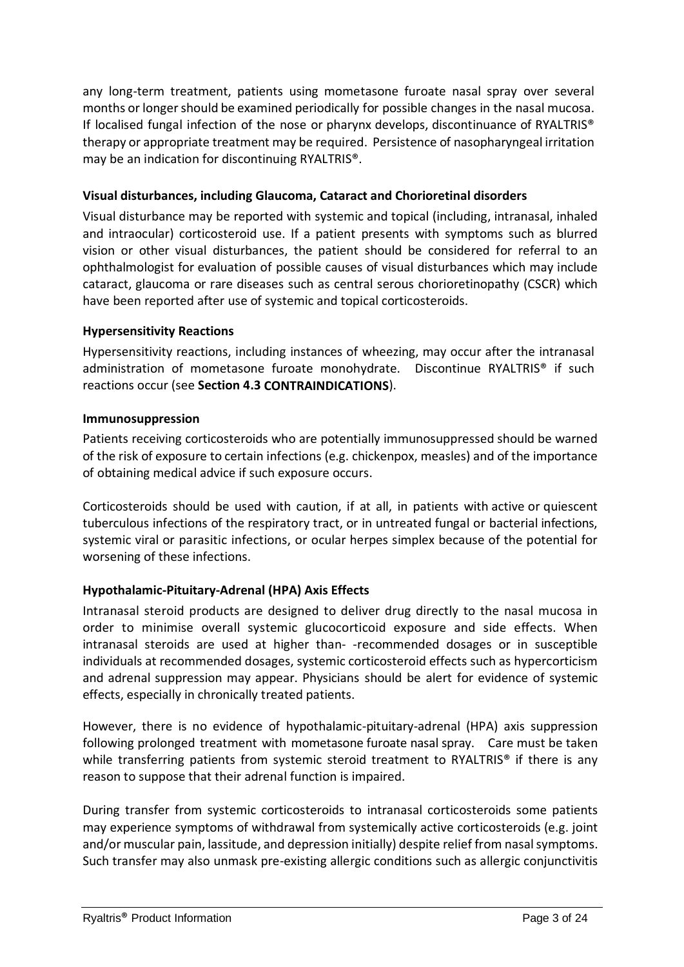any long-term treatment, patients using mometasone furoate nasal spray over several months or longer should be examined periodically for possible changes in the nasal mucosa. If localised fungal infection of the nose or pharynx develops, discontinuance of RYALTRIS® therapy or appropriate treatment may be required. Persistence of nasopharyngeal irritation may be an indication for discontinuing RYALTRIS®.

#### **Visual disturbances, including Glaucoma, Cataract and Chorioretinal disorders**

Visual disturbance may be reported with systemic and topical (including, intranasal, inhaled and intraocular) corticosteroid use. If a patient presents with symptoms such as blurred vision or other visual disturbances, the patient should be considered for referral to an ophthalmologist for evaluation of possible causes of visual disturbances which may include cataract, glaucoma or rare diseases such as central serous chorioretinopathy (CSCR) which have been reported after use of systemic and topical corticosteroids.

### **Hypersensitivity Reactions**

Hypersensitivity reactions, including instances of wheezing, may occur after the intranasal administration of mometasone furoate monohydrate. Discontinue RYALTRIS® if such reactions occur (see **Section 4.3 CONTRAINDICATIONS**).

#### **Immunosuppression**

Patients receiving corticosteroids who are potentially immunosuppressed should be warned of the risk of exposure to certain infections (e.g. chickenpox, measles) and of the importance of obtaining medical advice if such exposure occurs.

Corticosteroids should be used with caution, if at all, in patients with active or quiescent tuberculous infections of the respiratory tract, or in untreated fungal or bacterial infections, systemic viral or parasitic infections, or ocular herpes simplex because of the potential for worsening of these infections.

### **Hypothalamic-Pituitary-Adrenal (HPA) Axis Effects**

Intranasal steroid products are designed to deliver drug directly to the nasal mucosa in order to minimise overall systemic glucocorticoid exposure and side effects. When intranasal steroids are used at higher than- -recommended dosages or in susceptible individuals at recommended dosages, systemic corticosteroid effects such as hypercorticism and adrenal suppression may appear. Physicians should be alert for evidence of systemic effects, especially in chronically treated patients.

However, there is no evidence of hypothalamic-pituitary-adrenal (HPA) axis suppression following prolonged treatment with mometasone furoate nasal spray. Care must be taken while transferring patients from systemic steroid treatment to RYALTRIS<sup>®</sup> if there is any reason to suppose that their adrenal function is impaired.

During transfer from systemic corticosteroids to intranasal corticosteroids some patients may experience symptoms of withdrawal from systemically active corticosteroids (e.g. joint and/or muscular pain, lassitude, and depression initially) despite relief from nasal symptoms. Such transfer may also unmask pre-existing allergic conditions such as allergic conjunctivitis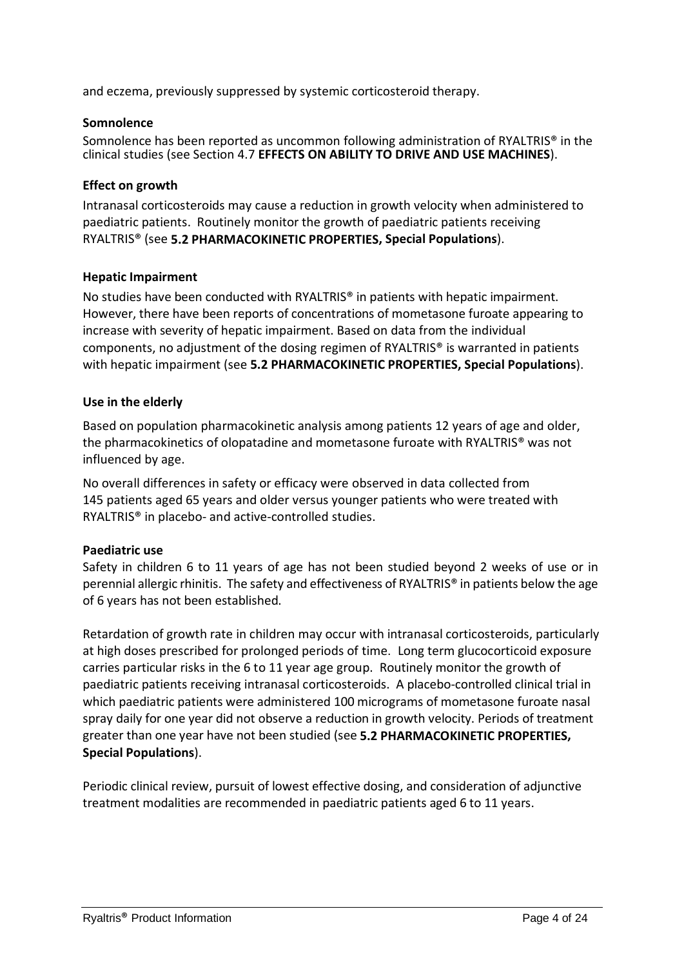and eczema, previously suppressed by systemic corticosteroid therapy.

#### **Somnolence**

Somnolence has been reported as uncommon following administration of RYALTRIS® in the clinical studies (see Section 4.7 **EFFECTS ON ABILITY TO DRIVE AND USE MACHINES**).

### **Effect on growth**

Intranasal corticosteroids may cause a reduction in growth velocity when administered to paediatric patients. Routinely monitor the growth of paediatric patients receiving RYALTRIS® (see **5.2 PHARMACOKINETIC PROPERTIES, Special Populations**).

#### **Hepatic Impairment**

No studies have been conducted with RYALTRIS<sup>®</sup> in patients with hepatic impairment. However, there have been reports of concentrations of mometasone furoate appearing to increase with severity of hepatic impairment. Based on data from the individual components, no adjustment of the dosing regimen of RYALTRIS® is warranted in patients with hepatic impairment (see **5.2 PHARMACOKINETIC PROPERTIES, Special Populations**).

#### **Use in the elderly**

Based on population pharmacokinetic analysis among patients 12 years of age and older, the pharmacokinetics of olopatadine and mometasone furoate with RYALTRIS® was not influenced by age.

No overall differences in safety or efficacy were observed in data collected from 145 patients aged 65 years and older versus younger patients who were treated with RYALTRIS® in placebo- and active-controlled studies.

### **Paediatric use**

Safety in children 6 to 11 years of age has not been studied beyond 2 weeks of use or in perennial allergic rhinitis. The safety and effectiveness of RYALTRIS® in patients below the age of 6 years has not been established.

Retardation of growth rate in children may occur with intranasal corticosteroids, particularly at high doses prescribed for prolonged periods of time. Long term glucocorticoid exposure carries particular risks in the 6 to 11 year age group. Routinely monitor the growth of paediatric patients receiving intranasal corticosteroids. A placebo-controlled clinical trial in which paediatric patients were administered 100 micrograms of mometasone furoate nasal spray daily for one year did not observe a reduction in growth velocity. Periods of treatment greater than one year have not been studied (see **5.2 PHARMACOKINETIC PROPERTIES, Special Populations**).

Periodic clinical review, pursuit of lowest effective dosing, and consideration of adjunctive treatment modalities are recommended in paediatric patients aged 6 to 11 years.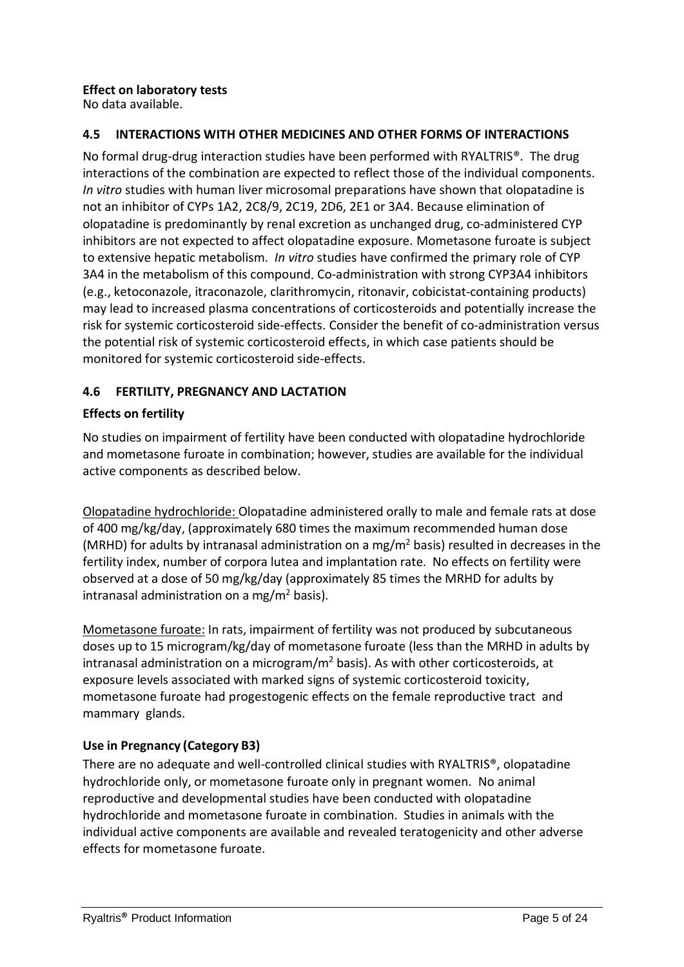# **Effect on laboratory tests**

No data available.

## **4.5 INTERACTIONS WITH OTHER MEDICINES AND OTHER FORMS OF INTERACTIONS**

No formal drug-drug interaction studies have been performed with RYALTRIS®. The drug interactions of the combination are expected to reflect those of the individual components. *In vitro* studies with human liver microsomal preparations have shown that olopatadine is not an inhibitor of CYPs 1A2, 2C8/9, 2C19, 2D6, 2E1 or 3A4. Because elimination of olopatadine is predominantly by renal excretion as unchanged drug, co-administered CYP inhibitors are not expected to affect olopatadine exposure. Mometasone furoate is subject to extensive hepatic metabolism. *In vitro* studies have confirmed the primary role of CYP 3A4 in the metabolism of this compound. Co-administration with strong CYP3A4 inhibitors (e.g., ketoconazole, itraconazole, clarithromycin, ritonavir, cobicistat-containing products) may lead to increased plasma concentrations of corticosteroids and potentially increase the risk for systemic corticosteroid side-effects. Consider the benefit of co-administration versus the potential risk of systemic corticosteroid effects, in which case patients should be monitored for systemic corticosteroid side-effects.

# **4.6 FERTILITY, PREGNANCY AND LACTATION**

### **Effects on fertility**

No studies on impairment of fertility have been conducted with olopatadine hydrochloride and mometasone furoate in combination; however, studies are available for the individual active components as described below.

Olopatadine hydrochloride: Olopatadine administered orally to male and female rats at dose of 400 mg/kg/day, (approximately 680 times the maximum recommended human dose (MRHD) for adults by intranasal administration on a mg/m<sup>2</sup> basis) resulted in decreases in the fertility index, number of corpora lutea and implantation rate. No effects on fertility were observed at a dose of 50 mg/kg/day (approximately 85 times the MRHD for adults by intranasal administration on a mg/m<sup>2</sup> basis).

Mometasone furoate: In rats, impairment of fertility was not produced by subcutaneous doses up to 15 microgram/kg/day of mometasone furoate (less than the MRHD in adults by intranasal administration on a microgram/ $m<sup>2</sup>$  basis). As with other corticosteroids, at exposure levels associated with marked signs of systemic corticosteroid toxicity, mometasone furoate had progestogenic effects on the female reproductive tract and mammary glands.

### **Use in Pregnancy (Category B3)**

There are no adequate and well-controlled clinical studies with RYALTRIS®, olopatadine hydrochloride only, or mometasone furoate only in pregnant women. No animal reproductive and developmental studies have been conducted with olopatadine hydrochloride and mometasone furoate in combination. Studies in animals with the individual active components are available and revealed teratogenicity and other adverse effects for mometasone furoate.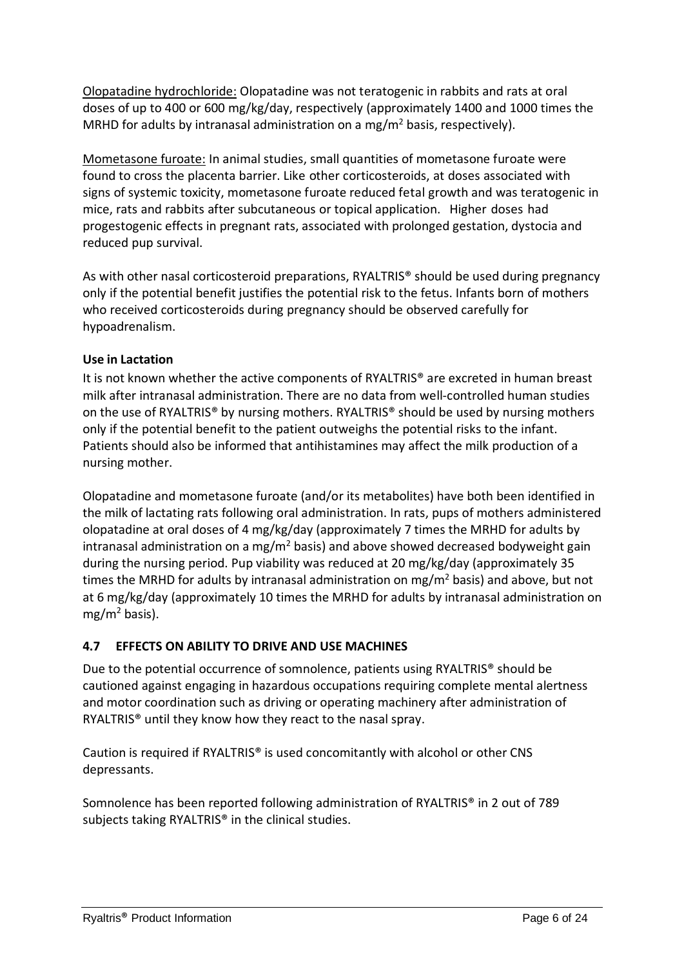Olopatadine hydrochloride: Olopatadine was not teratogenic in rabbits and rats at oral doses of up to 400 or 600 mg/kg/day, respectively (approximately 1400 and 1000 times the MRHD for adults by intranasal administration on a mg/m<sup>2</sup> basis, respectively).

Mometasone furoate: In animal studies, small quantities of mometasone furoate were found to cross the placenta barrier. Like other corticosteroids, at doses associated with signs of systemic toxicity, mometasone furoate reduced fetal growth and was teratogenic in mice, rats and rabbits after subcutaneous or topical application. Higher doses had progestogenic effects in pregnant rats, associated with prolonged gestation, dystocia and reduced pup survival.

As with other nasal corticosteroid preparations, RYALTRIS® should be used during pregnancy only if the potential benefit justifies the potential risk to the fetus. Infants born of mothers who received corticosteroids during pregnancy should be observed carefully for hypoadrenalism.

# **Use in Lactation**

It is not known whether the active components of RYALTRIS® are excreted in human breast milk after intranasal administration. There are no data from well-controlled human studies on the use of RYALTRIS® by nursing mothers. RYALTRIS® should be used by nursing mothers only if the potential benefit to the patient outweighs the potential risks to the infant. Patients should also be informed that antihistamines may affect the milk production of a nursing mother.

Olopatadine and mometasone furoate (and/or its metabolites) have both been identified in the milk of lactating rats following oral administration. In rats, pups of mothers administered olopatadine at oral doses of 4 mg/kg/day (approximately 7 times the MRHD for adults by intranasal administration on a mg/m<sup>2</sup> basis) and above showed decreased bodyweight gain during the nursing period. Pup viability was reduced at 20 mg/kg/day (approximately 35 times the MRHD for adults by intranasal administration on  $mg/m<sup>2</sup>$  basis) and above, but not at 6 mg/kg/day (approximately 10 times the MRHD for adults by intranasal administration on  $mg/m<sup>2</sup>$  basis).

### **4.7 EFFECTS ON ABILITY TO DRIVE AND USE MACHINES**

Due to the potential occurrence of somnolence, patients using RYALTRIS® should be cautioned against engaging in hazardous occupations requiring complete mental alertness and motor coordination such as driving or operating machinery after administration of RYALTRIS® until they know how they react to the nasal spray.

Caution is required if RYALTRIS® is used concomitantly with alcohol or other CNS depressants.

Somnolence has been reported following administration of RYALTRIS® in 2 out of 789 subjects taking RYALTRIS<sup>®</sup> in the clinical studies.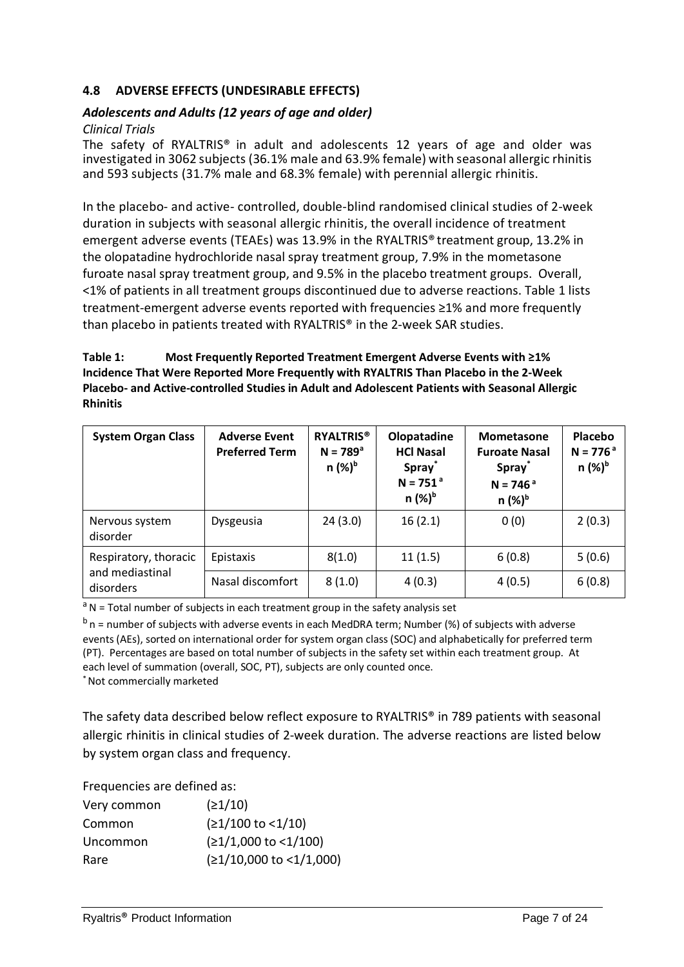#### **4.8 ADVERSE EFFECTS (UNDESIRABLE EFFECTS)**

#### *Adolescents and Adults (12 years of age and older)*

#### *Clinical Trials*

The safety of RYALTRIS® in adult and adolescents 12 years of age and older was investigated in 3062 subjects (36.1% male and 63.9% female) with seasonal allergic rhinitis and 593 subjects (31.7% male and 68.3% female) with perennial allergic rhinitis.

In the placebo- and active- controlled, double-blind randomised clinical studies of 2-week duration in subjects with seasonal allergic rhinitis, the overall incidence of treatment emergent adverse events (TEAEs) was 13.9% in the RYALTRIS® treatment group, 13.2% in the olopatadine hydrochloride nasal spray treatment group, 7.9% in the mometasone furoate nasal spray treatment group, and 9.5% in the placebo treatment groups. Overall, <1% of patients in all treatment groups discontinued due to adverse reactions. [Table](#page-6-0) 1 lists treatment-emergent adverse events reported with frequencies ≥1% and more frequently than placebo in patients treated with RYALTRIS® in the 2-week SAR studies.

#### <span id="page-6-0"></span>**Table 1: Most Frequently Reported Treatment Emergent Adverse Events with ≥1% Incidence That Were Reported More Frequently with RYALTRIS Than Placebo in the 2-Week Placebo- and Active-controlled Studies in Adult and Adolescent Patients with Seasonal Allergic Rhinitis**

| <b>System Organ Class</b>                             | <b>Adverse Event</b><br><b>Preferred Term</b> | <b>RYALTRIS®</b><br>$N = 789^{\circ}$<br>$n$ (%) <sup>b</sup> | Olopatadine<br><b>HCl Nasal</b><br><b>Spray</b><br>$N = 751a$<br>$n$ (%) <sup>b</sup> | <b>Mometasone</b><br><b>Furoate Nasal</b><br><b>Spray</b><br>$N = 746a$<br>$n$ (%) <sup>b</sup> | Placebo<br>$N = 776a$<br>n (%) <sup>b</sup> |
|-------------------------------------------------------|-----------------------------------------------|---------------------------------------------------------------|---------------------------------------------------------------------------------------|-------------------------------------------------------------------------------------------------|---------------------------------------------|
| Nervous system<br>disorder                            | Dysgeusia                                     | 24(3.0)                                                       | 16(2.1)                                                                               | 0(0)                                                                                            | 2(0.3)                                      |
| Respiratory, thoracic<br>and mediastinal<br>disorders | Epistaxis                                     | 8(1.0)                                                        | 11(1.5)                                                                               | 6(0.8)                                                                                          | 5(0.6)                                      |
|                                                       | Nasal discomfort                              | 8(1.0)                                                        | 4(0.3)                                                                                | 4(0.5)                                                                                          | 6(0.8)                                      |

 $a<sup>a</sup>N$  = Total number of subjects in each treatment group in the safety analysis set

 $<sup>b</sup>$  n = number of subjects with adverse events in each MedDRA term; Number (%) of subjects with adverse</sup> events (AEs), sorted on international order for system organ class (SOC) and alphabetically for preferred term (PT). Percentages are based on total number of subjects in the safety set within each treatment group. At each level of summation (overall, SOC, PT), subjects are only counted once. \* Not commercially marketed

The safety data described below reflect exposure to RYALTRIS® in 789 patients with seasonal allergic rhinitis in clinical studies of 2-week duration. The adverse reactions are listed below

Frequencies are defined as:

by system organ class and frequency.

| (21/10)                     |
|-----------------------------|
| $(21/100 \text{ to } 1/10)$ |
| $(≥1/1,000$ to <1/100)      |
| (≥1/10,000 to <1/1,000)     |
|                             |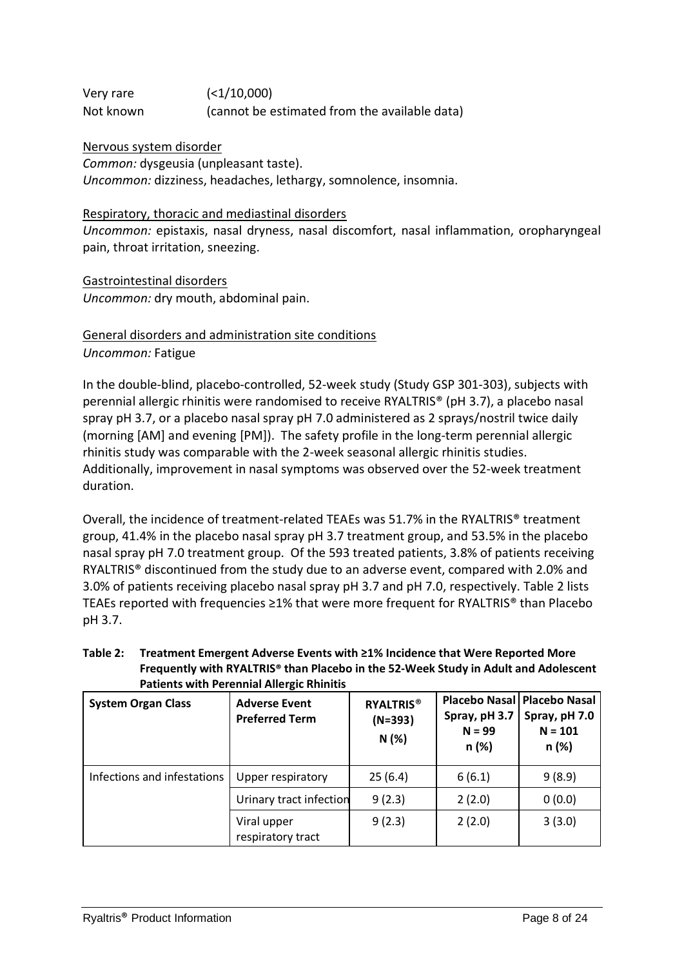Very rare (<1/10,000) Not known (cannot be estimated from the available data)

Nervous system disorder

*Common:* dysgeusia (unpleasant taste). *Uncommon:* dizziness, headaches, lethargy, somnolence, insomnia.

#### Respiratory, thoracic and mediastinal disorders

*Uncommon:* epistaxis, nasal dryness, nasal discomfort, nasal inflammation, oropharyngeal pain, throat irritation, sneezing.

Gastrointestinal disorders *Uncommon:* dry mouth, abdominal pain.

# General disorders and administration site conditions *Uncommon:* Fatigue

In the double-blind, placebo-controlled, 52-week study (Study GSP 301-303), subjects with perennial allergic rhinitis were randomised to receive RYALTRIS® (pH 3.7), a placebo nasal spray pH 3.7, or a placebo nasal spray pH 7.0 administered as 2 sprays/nostril twice daily (morning [AM] and evening [PM]). The safety profile in the long-term perennial allergic rhinitis study was comparable with the 2-week seasonal allergic rhinitis studies. Additionally, improvement in nasal symptoms was observed over the 52-week treatment duration.

Overall, the incidence of treatment-related TEAEs was 51.7% in the RYALTRIS® treatment group, 41.4% in the placebo nasal spray pH 3.7 treatment group, and 53.5% in the placebo nasal spray pH 7.0 treatment group. Of the 593 treated patients, 3.8% of patients receiving RYALTRIS® discontinued from the study due to an adverse event, compared with 2.0% and 3.0% of patients receiving placebo nasal spray pH 3.7 and pH 7.0, respectively. Table 2 lists TEAEs reported with frequencies ≥1% that were more frequent for RYALTRIS® than Placebo pH 3.7.

| Table 2: Treatment Emergent Adverse Events with ≥1% Incidence that Were Reported More |
|---------------------------------------------------------------------------------------|
| Frequently with RYALTRIS® than Placebo in the 52-Week Study in Adult and Adolescent   |
| <b>Patients with Perennial Allergic Rhinitis</b>                                      |

| <b>System Organ Class</b>   | <b>Adverse Event</b><br><b>Preferred Term</b> | <b>RYALTRIS®</b><br>$(N=393)$<br>N(%) | Spray, pH 3.7<br>$N = 99$<br>n (%) | Placebo Nasal   Placebo Nasal<br>Spray, pH 7.0<br>$N = 101$<br>n (%) |
|-----------------------------|-----------------------------------------------|---------------------------------------|------------------------------------|----------------------------------------------------------------------|
| Infections and infestations | Upper respiratory                             | 25(6.4)                               | 6(6.1)                             | 9(8.9)                                                               |
|                             | Urinary tract infection                       | 9(2.3)                                | 2(2.0)                             | 0(0.0)                                                               |
|                             | Viral upper<br>respiratory tract              | 9(2.3)                                | 2(2.0)                             | 3(3.0)                                                               |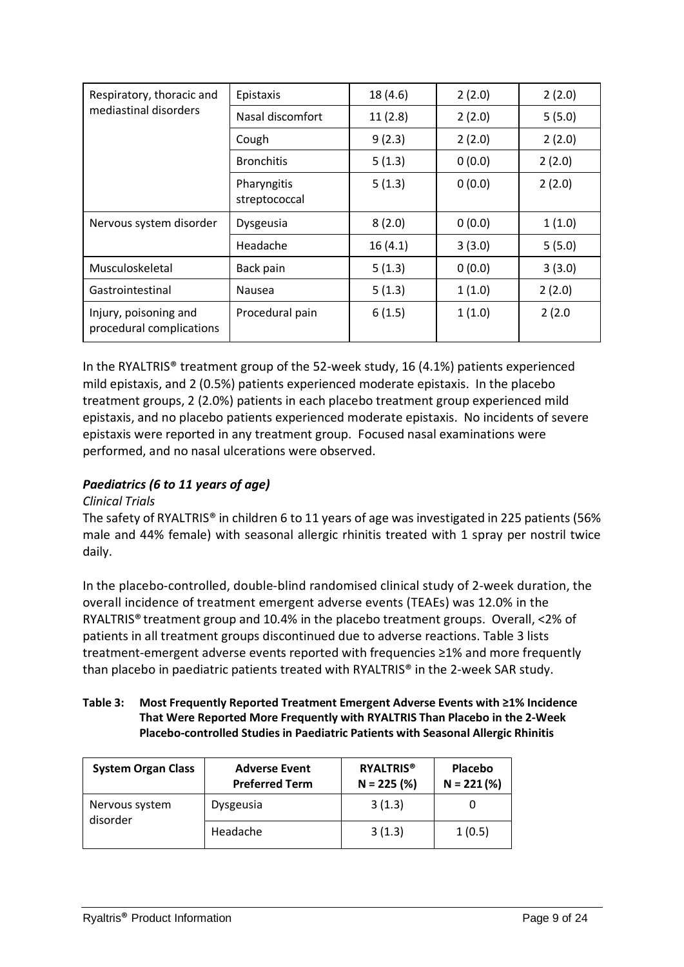| Respiratory, thoracic and                         | Epistaxis                    | 18 (4.6) | 2(2.0) | 2(2.0) |
|---------------------------------------------------|------------------------------|----------|--------|--------|
| mediastinal disorders                             | Nasal discomfort             | 11(2.8)  | 2(2.0) | 5(5.0) |
|                                                   | Cough                        | 9(2.3)   | 2(2.0) | 2(2.0) |
|                                                   | <b>Bronchitis</b>            | 5(1.3)   | 0(0.0) | 2(2.0) |
|                                                   | Pharyngitis<br>streptococcal | 5(1.3)   | 0(0.0) | 2(2.0) |
| Nervous system disorder                           | Dysgeusia                    | 8(2.0)   | 0(0.0) | 1(1.0) |
|                                                   | Headache                     | 16(4.1)  | 3(3.0) | 5(5.0) |
| Musculoskeletal                                   | Back pain                    | 5(1.3)   | 0(0.0) | 3(3.0) |
| Gastrointestinal                                  | Nausea                       | 5(1.3)   | 1(1.0) | 2(2.0) |
| Injury, poisoning and<br>procedural complications | Procedural pain              | 6(1.5)   | 1(1.0) | 2(2.0) |

In the RYALTRIS® treatment group of the 52-week study, 16 (4.1%) patients experienced mild epistaxis, and 2 (0.5%) patients experienced moderate epistaxis. In the placebo treatment groups, 2 (2.0%) patients in each placebo treatment group experienced mild epistaxis, and no placebo patients experienced moderate epistaxis. No incidents of severe epistaxis were reported in any treatment group. Focused nasal examinations were performed, and no nasal ulcerations were observed.

# *Paediatrics (6 to 11 years of age)*

### *Clinical Trials*

The safety of RYALTRIS® in children 6 to 11 years of age was investigated in 225 patients (56% male and 44% female) with seasonal allergic rhinitis treated with 1 spray per nostril twice daily.

In the placebo-controlled, double-blind randomised clinical study of 2-week duration, the overall incidence of treatment emergent adverse events (TEAEs) was 12.0% in the RYALTRIS® treatment group and 10.4% in the placebo treatment groups. Overall, <2% of patients in all treatment groups discontinued due to adverse reactions. [Table](#page-6-0) 3 lists treatment-emergent adverse events reported with frequencies ≥1% and more frequently than placebo in paediatric patients treated with RYALTRIS® in the 2-week SAR study.

#### **Table 3: Most Frequently Reported Treatment Emergent Adverse Events with ≥1% Incidence That Were Reported More Frequently with RYALTRIS Than Placebo in the 2-Week Placebo-controlled Studies in Paediatric Patients with Seasonal Allergic Rhinitis**

| <b>System Organ Class</b>  | <b>Adverse Event</b><br><b>Preferred Term</b> | <b>RYALTRIS<sup>®</sup></b><br>$N = 225$ (%) | <b>Placebo</b><br>$N = 221 (%)$ |
|----------------------------|-----------------------------------------------|----------------------------------------------|---------------------------------|
| Nervous system<br>disorder | Dysgeusia                                     | 3(1.3)                                       |                                 |
|                            | Headache                                      | 3(1.3)                                       | 1(0.5)                          |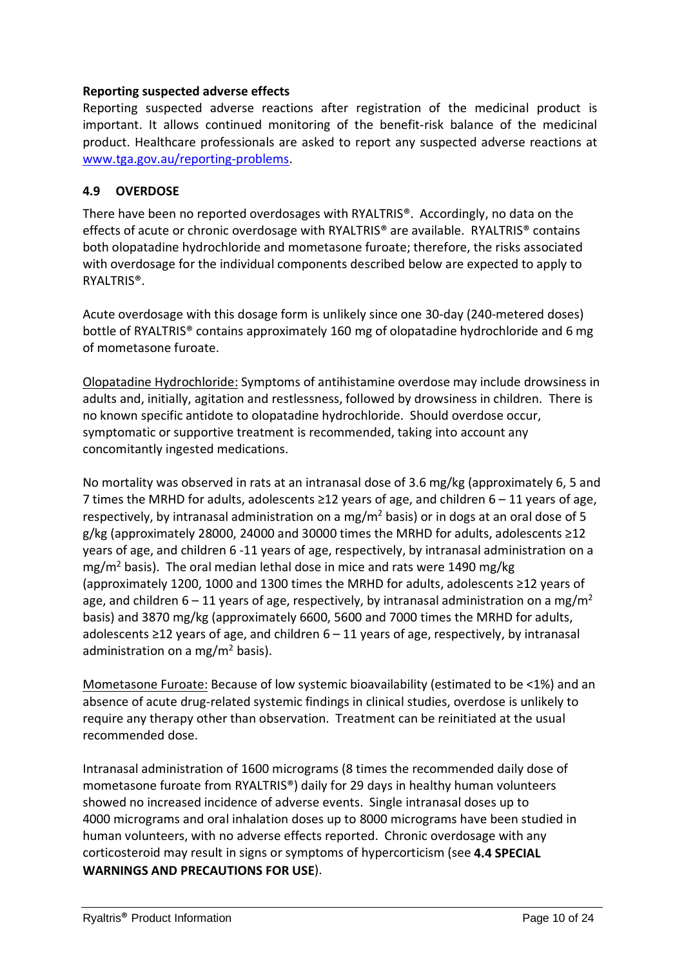#### **Reporting suspected adverse effects**

Reporting suspected adverse reactions after registration of the medicinal product is important. It allows continued monitoring of the benefit-risk balance of the medicinal product. Healthcare professionals are asked to report any suspected adverse reactions at [www.tga.gov.au/reporting-problems.](file://prusntyfil01/home$/SU000915/Desktop/Ryaltris/TGA/Delegate)

#### **4.9 OVERDOSE**

There have been no reported overdosages with RYALTRIS®. Accordingly, no data on the effects of acute or chronic overdosage with RYALTRIS® are available. RYALTRIS® contains both olopatadine hydrochloride and mometasone furoate; therefore, the risks associated with overdosage for the individual components described below are expected to apply to RYALTRIS®.

Acute overdosage with this dosage form is unlikely since one 30-day (240-metered doses) bottle of RYALTRIS® contains approximately 160 mg of olopatadine hydrochloride and 6 mg of mometasone furoate.

Olopatadine Hydrochloride: Symptoms of antihistamine overdose may include drowsiness in adults and, initially, agitation and restlessness, followed by drowsiness in children. There is no known specific antidote to olopatadine hydrochloride. Should overdose occur, symptomatic or supportive treatment is recommended, taking into account any concomitantly ingested medications.

No mortality was observed in rats at an intranasal dose of 3.6 mg/kg (approximately 6, 5 and 7 times the MRHD for adults, adolescents ≥12 years of age, and children  $6 - 11$  years of age, respectively, by intranasal administration on a mg/m<sup>2</sup> basis) or in dogs at an oral dose of 5 g/kg (approximately 28000, 24000 and 30000 times the MRHD for adults, adolescents ≥12 years of age, and children 6 -11 years of age, respectively, by intranasal administration on a mg/m<sup>2</sup> basis). The oral median lethal dose in mice and rats were 1490 mg/kg (approximately 1200, 1000 and 1300 times the MRHD for adults, adolescents ≥12 years of age, and children  $6 - 11$  years of age, respectively, by intranasal administration on a mg/m<sup>2</sup> basis) and 3870 mg/kg (approximately 6600, 5600 and 7000 times the MRHD for adults, adolescents  $\geq$ 12 years of age, and children 6 – 11 years of age, respectively, by intranasal administration on a mg/ $m^2$  basis).

Mometasone Furoate: Because of low systemic bioavailability (estimated to be <1%) and an absence of acute drug-related systemic findings in clinical studies, overdose is unlikely to require any therapy other than observation. Treatment can be reinitiated at the usual recommended dose.

Intranasal administration of 1600 micrograms (8 times the recommended daily dose of mometasone furoate from RYALTRIS®) daily for 29 days in healthy human volunteers showed no increased incidence of adverse events. Single intranasal doses up to 4000 micrograms and oral inhalation doses up to 8000 micrograms have been studied in human volunteers, with no adverse effects reported. Chronic overdosage with any corticosteroid may result in signs or symptoms of hypercorticism (see **4.4 SPECIAL WARNINGS AND PRECAUTIONS FOR USE**).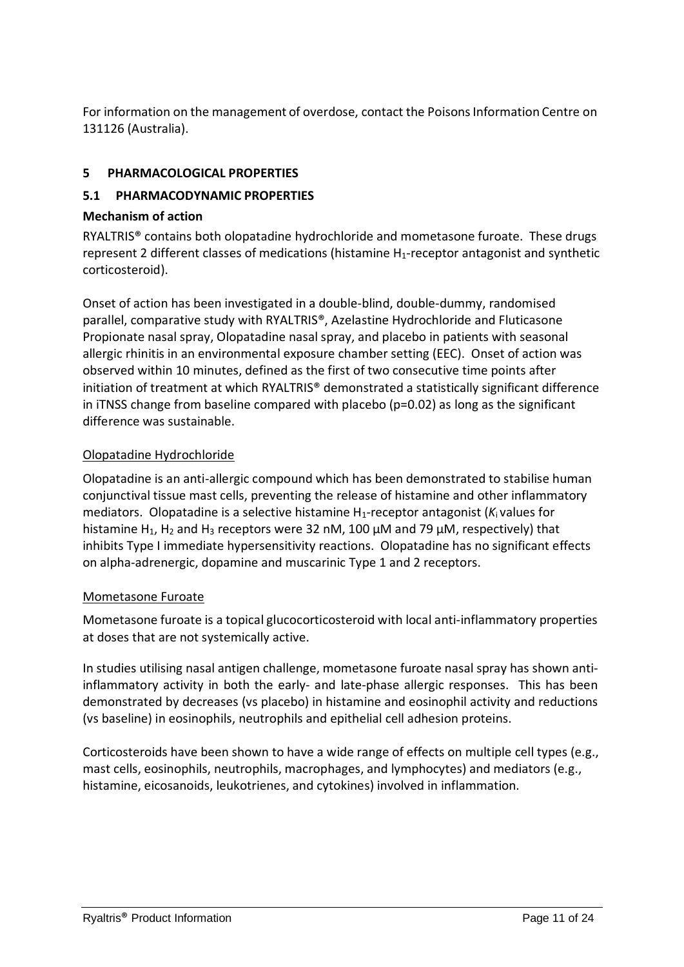For information on the management of overdose, contact the Poisons Information Centre on 131126 (Australia).

# **5 PHARMACOLOGICAL PROPERTIES**

## **5.1 PHARMACODYNAMIC PROPERTIES**

### **Mechanism of action**

RYALTRIS® contains both olopatadine hydrochloride and mometasone furoate. These drugs represent 2 different classes of medications (histamine  $H_1$ -receptor antagonist and synthetic corticosteroid).

Onset of action has been investigated in a double-blind, double-dummy, randomised parallel, comparative study with RYALTRIS®, Azelastine Hydrochloride and Fluticasone Propionate nasal spray, Olopatadine nasal spray, and placebo in patients with seasonal allergic rhinitis in an environmental exposure chamber setting (EEC). Onset of action was observed within 10 minutes, defined as the first of two consecutive time points after initiation of treatment at which RYALTRIS® demonstrated a statistically significant difference in iTNSS change from baseline compared with placebo ( $p=0.02$ ) as long as the significant difference was sustainable.

# Olopatadine Hydrochloride

Olopatadine is an anti-allergic compound which has been demonstrated to stabilise human conjunctival tissue mast cells, preventing the release of histamine and other inflammatory mediators. Olopatadine is a selective histamine H1-receptor antagonist (*K*<sup>i</sup> values for histamine H<sub>1</sub>, H<sub>2</sub> and H<sub>3</sub> receptors were 32 nM, 100  $\mu$ M and 79  $\mu$ M, respectively) that inhibits Type I immediate hypersensitivity reactions. Olopatadine has no significant effects on alpha-adrenergic, dopamine and muscarinic Type 1 and 2 receptors.

# Mometasone Furoate

Mometasone furoate is a topical glucocorticosteroid with local anti-inflammatory properties at doses that are not systemically active.

In studies utilising nasal antigen challenge, mometasone furoate nasal spray has shown antiinflammatory activity in both the early- and late-phase allergic responses. This has been demonstrated by decreases (vs placebo) in histamine and eosinophil activity and reductions (vs baseline) in eosinophils, neutrophils and epithelial cell adhesion proteins.

Corticosteroids have been shown to have a wide range of effects on multiple cell types (e.g., mast cells, eosinophils, neutrophils, macrophages, and lymphocytes) and mediators (e.g., histamine, eicosanoids, leukotrienes, and cytokines) involved in inflammation.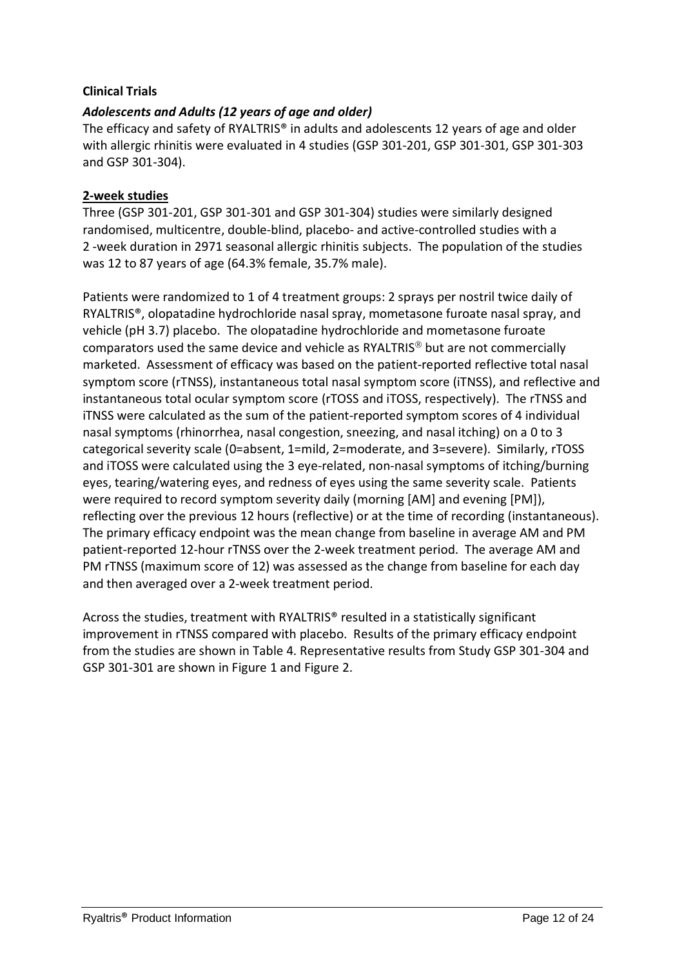## **Clinical Trials**

# *Adolescents and Adults (12 years of age and older)*

The efficacy and safety of RYALTRIS® in adults and adolescents 12 years of age and older with allergic rhinitis were evaluated in 4 studies (GSP 301-201, GSP 301-301, GSP 301-303 and GSP 301-304).

#### **2-week studies**

Three (GSP 301-201, GSP 301-301 and GSP 301-304) studies were similarly designed randomised, multicentre, double-blind, placebo- and active-controlled studies with a 2 -week duration in 2971 seasonal allergic rhinitis subjects. The population of the studies was 12 to 87 years of age (64.3% female, 35.7% male).

Patients were randomized to 1 of 4 treatment groups: 2 sprays per nostril twice daily of RYALTRIS®, olopatadine hydrochloride nasal spray, mometasone furoate nasal spray, and vehicle (pH 3.7) placebo. The olopatadine hydrochloride and mometasone furoate comparators used the same device and vehicle as RYALTRIS $\textcircled{\tiny{\textcirc}}$  but are not commercially marketed. Assessment of efficacy was based on the patient-reported reflective total nasal symptom score (rTNSS), instantaneous total nasal symptom score (iTNSS), and reflective and instantaneous total ocular symptom score (rTOSS and iTOSS, respectively). The rTNSS and iTNSS were calculated as the sum of the patient-reported symptom scores of 4 individual nasal symptoms (rhinorrhea, nasal congestion, sneezing, and nasal itching) on a 0 to 3 categorical severity scale (0=absent, 1=mild, 2=moderate, and 3=severe). Similarly, rTOSS and iTOSS were calculated using the 3 eye-related, non-nasal symptoms of itching/burning eyes, tearing/watering eyes, and redness of eyes using the same severity scale. Patients were required to record symptom severity daily (morning [AM] and evening [PM]), reflecting over the previous 12 hours (reflective) or at the time of recording (instantaneous). The primary efficacy endpoint was the mean change from baseline in average AM and PM patient-reported 12-hour rTNSS over the 2-week treatment period. The average AM and PM rTNSS (maximum score of 12) was assessed as the change from baseline for each day and then averaged over a 2-week treatment period.

Across the studies, treatment with RYALTRIS® resulted in a statistically significant improvement in rTNSS compared with placebo. Results of the primary efficacy endpoint from the studies are shown in Table 4. Representative results from Study GSP 301-304 and GSP 301-301 are shown in Figure 1 and Figure 2.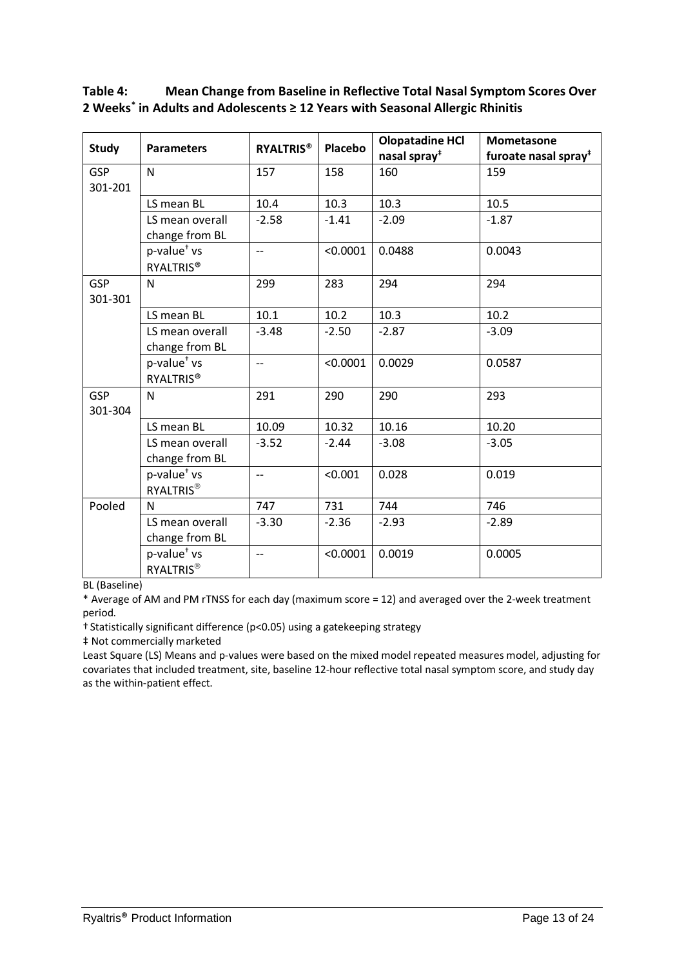| <b>Study</b>          | <b>Parameters</b>                           | <b>RYALTRIS®</b>         | <b>Placebo</b> | <b>Olopatadine HCI</b>   | Mometasone                       |
|-----------------------|---------------------------------------------|--------------------------|----------------|--------------------------|----------------------------------|
|                       |                                             |                          |                | nasal spray <sup>#</sup> | furoate nasal spray <sup>#</sup> |
| <b>GSP</b><br>301-201 | N                                           | 157                      | 158            | 160                      | 159                              |
|                       | LS mean BL                                  | 10.4                     | 10.3           | 10.3                     | 10.5                             |
|                       | LS mean overall<br>change from BL           | $-2.58$                  | $-1.41$        | $-2.09$                  | $-1.87$                          |
|                       | p-value <sup>+</sup> vs<br><b>RYALTRIS®</b> | $-$                      | < 0.0001       | 0.0488                   | 0.0043                           |
| <b>GSP</b><br>301-301 | N                                           | 299                      | 283            | 294                      | 294                              |
|                       | LS mean BL                                  | 10.1                     | 10.2           | 10.3                     | 10.2                             |
|                       | LS mean overall<br>change from BL           | $-3.48$                  | $-2.50$        | $-2.87$                  | $-3.09$                          |
|                       | p-value <sup>+</sup> vs<br><b>RYALTRIS®</b> | $-$                      | < 0.0001       | 0.0029                   | 0.0587                           |
| <b>GSP</b><br>301-304 | N                                           | 291                      | 290            | 290                      | 293                              |
|                       | LS mean BL                                  | 10.09                    | 10.32          | 10.16                    | 10.20                            |
|                       | LS mean overall<br>change from BL           | $-3.52$                  | $-2.44$        | $-3.08$                  | $-3.05$                          |
|                       | p-value <sup>+</sup> vs<br><b>RYALTRIS®</b> | $-$                      | < 0.001        | 0.028                    | 0.019                            |
| Pooled                | N                                           | 747                      | 731            | 744                      | 746                              |
|                       | LS mean overall<br>change from BL           | $-3.30$                  | $-2.36$        | $-2.93$                  | $-2.89$                          |
|                       | p-value <sup>+</sup> vs<br><b>RYALTRIS®</b> | $\overline{\phantom{a}}$ | < 0.0001       | 0.0019                   | 0.0005                           |

# **Table 4: Mean Change from Baseline in Reflective Total Nasal Symptom Scores Over 2 Weeks\* in Adults and Adolescents ≥ 12 Years with Seasonal Allergic Rhinitis**

BL (Baseline)

\* Average of AM and PM rTNSS for each day (maximum score = 12) and averaged over the 2-week treatment period.

† Statistically significant difference (p<0.05) using a gatekeeping strategy

‡ Not commercially marketed

Least Square (LS) Means and p-values were based on the mixed model repeated measures model, adjusting for covariates that included treatment, site, baseline 12-hour reflective total nasal symptom score, and study day as the within-patient effect.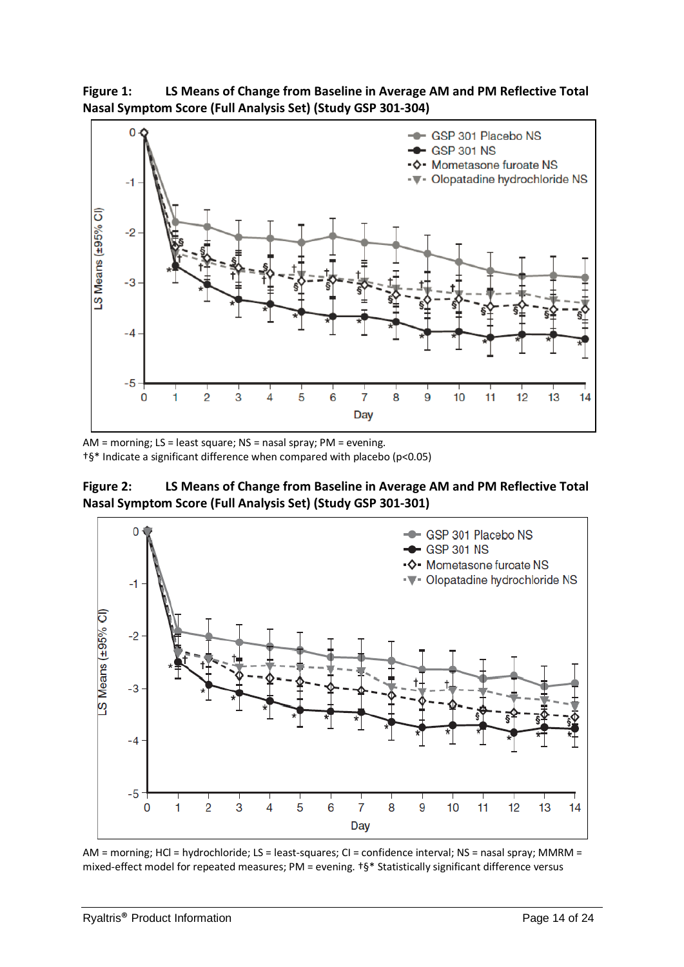**Figure 1: LS Means of Change from Baseline in Average AM and PM Reflective Total Nasal Symptom Score (Full Analysis Set) (Study GSP 301-304)**



AM = morning; LS = least square; NS = nasal spray; PM = evening. †§\* Indicate a significant difference when compared with placebo (p<0.05)

**Figure 2: LS Means of Change from Baseline in Average AM and PM Reflective Total Nasal Symptom Score (Full Analysis Set) (Study GSP 301-301)**



AM = morning; HCl = hydrochloride; LS = least-squares; CI = confidence interval; NS = nasal spray; MMRM = mixed-effect model for repeated measures; PM = evening. †§\* Statistically significant difference versus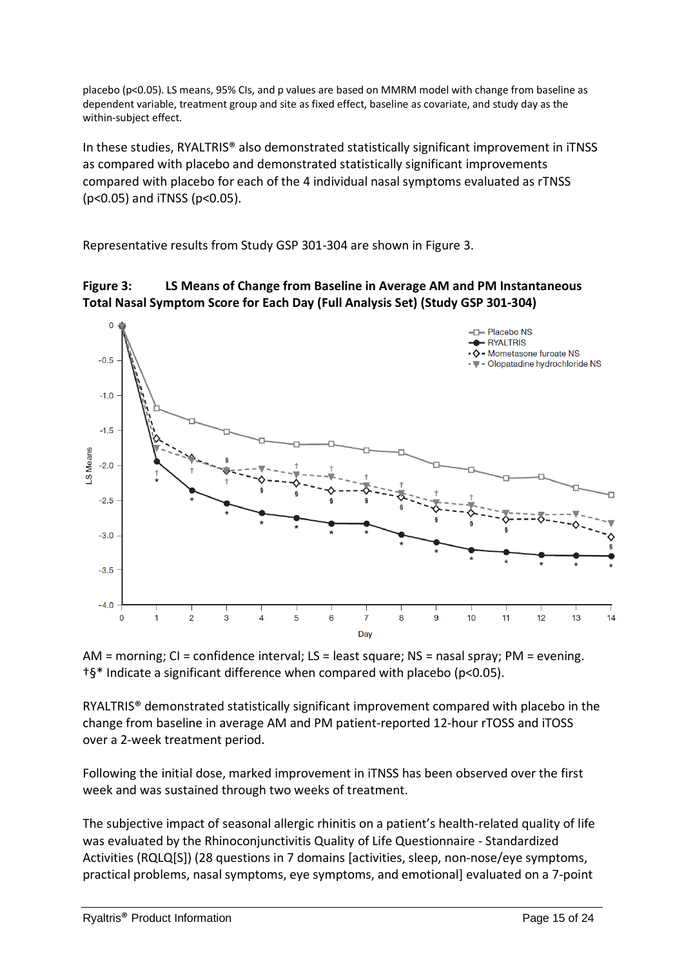placebo (p<0.05). LS means, 95% CIs, and p values are based on MMRM model with change from baseline as dependent variable, treatment group and site as fixed effect, baseline as covariate, and study day as the within-subject effect.

In these studies, RYALTRIS® also demonstrated statistically significant improvement in iTNSS as compared with placebo and demonstrated statistically significant improvements compared with placebo for each of the 4 individual nasal symptoms evaluated as rTNSS (p<0.05) and iTNSS (p<0.05).

Representative results from Study GSP 301-304 are shown in Figure 3.





AM = morning; CI = confidence interval; LS = least square; NS = nasal spray; PM = evening. †§\* Indicate a significant difference when compared with placebo (p<0.05).

RYALTRIS® demonstrated statistically significant improvement compared with placebo in the change from baseline in average AM and PM patient-reported 12-hour rTOSS and iTOSS over a 2-week treatment period.

Following the initial dose, marked improvement in iTNSS has been observed over the first week and was sustained through two weeks of treatment.

The subjective impact of seasonal allergic rhinitis on a patient's health-related quality of life was evaluated by the Rhinoconjunctivitis Quality of Life Questionnaire - Standardized Activities (RQLQ[S]) (28 questions in 7 domains [activities, sleep, non-nose/eye symptoms, practical problems, nasal symptoms, eye symptoms, and emotional] evaluated on a 7-point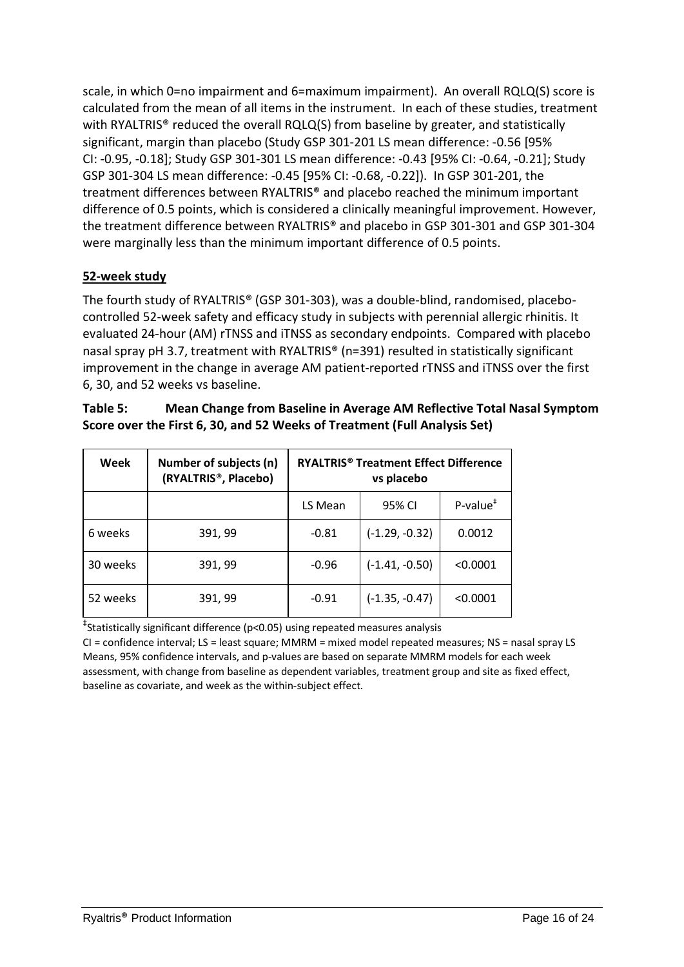scale, in which 0=no impairment and 6=maximum impairment). An overall RQLQ(S) score is calculated from the mean of all items in the instrument. In each of these studies, treatment with RYALTRIS<sup>®</sup> reduced the overall RQLQ(S) from baseline by greater, and statistically significant, margin than placebo (Study GSP 301-201 LS mean difference: -0.56 [95% CI: -0.95, -0.18]; Study GSP 301-301 LS mean difference: -0.43 [95% CI: -0.64, -0.21]; Study GSP 301-304 LS mean difference: -0.45 [95% CI: -0.68, -0.22]). In GSP 301-201, the treatment differences between RYALTRIS® and placebo reached the minimum important difference of 0.5 points, which is considered a clinically meaningful improvement. However, the treatment difference between RYALTRIS® and placebo in GSP 301-301 and GSP 301-304 were marginally less than the minimum important difference of 0.5 points.

# **52-week study**

The fourth study of RYALTRIS® (GSP 301-303), was a double-blind, randomised, placebocontrolled 52-week safety and efficacy study in subjects with perennial allergic rhinitis. It evaluated 24-hour (AM) rTNSS and iTNSS as secondary endpoints. Compared with placebo nasal spray pH 3.7, treatment with RYALTRIS® (n=391) resulted in statistically significant improvement in the change in average AM patient-reported rTNSS and iTNSS over the first 6, 30, and 52 weeks vs baseline.

| Week     | Number of subjects (n)<br>(RYALTRIS <sup>®</sup> , Placebo) | <b>RYALTRIS<sup>®</sup> Treatment Effect Difference</b><br>vs placebo |                  |                                      |
|----------|-------------------------------------------------------------|-----------------------------------------------------------------------|------------------|--------------------------------------|
|          |                                                             | LS Mean                                                               | 95% CI           | $P$ -value <sup><math>*</math></sup> |
| 6 weeks  | 391, 99                                                     | $-0.81$                                                               | $(-1.29, -0.32)$ | 0.0012                               |
| 30 weeks | 391, 99                                                     | $-0.96$                                                               | $(-1.41, -0.50)$ | < 0.0001                             |
| 52 weeks | 391, 99                                                     | $-0.91$                                                               | $(-1.35, -0.47)$ | < 0.0001                             |

| Table 5: | Mean Change from Baseline in Average AM Reflective Total Nasal Symptom    |
|----------|---------------------------------------------------------------------------|
|          | Score over the First 6, 30, and 52 Weeks of Treatment (Full Analysis Set) |

‡ Statistically significant difference (p<0.05) using repeated measures analysis

CI = confidence interval; LS = least square; MMRM = mixed model repeated measures; NS = nasal spray LS Means, 95% confidence intervals, and p-values are based on separate MMRM models for each week assessment, with change from baseline as dependent variables, treatment group and site as fixed effect, baseline as covariate, and week as the within-subject effect.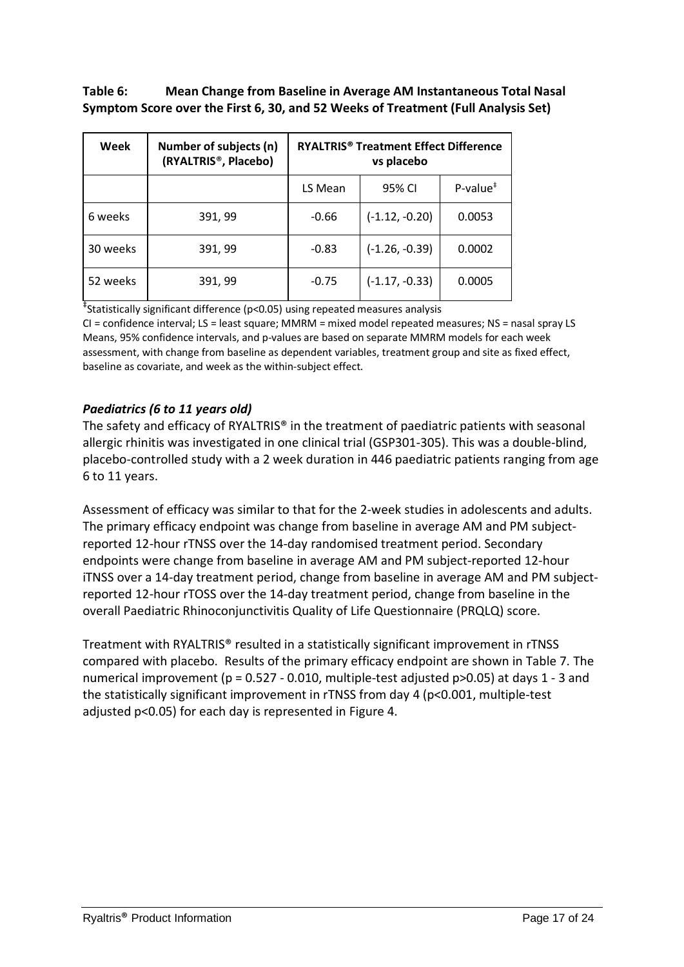# **Table 6: Mean Change from Baseline in Average AM Instantaneous Total Nasal Symptom Score over the First 6, 30, and 52 Weeks of Treatment (Full Analysis Set)**

| Week     | Number of subjects (n)<br>(RYALTRIS <sup>®</sup> , Placebo) | <b>RYALTRIS<sup>®</sup> Treatment Effect Difference</b><br>vs placebo |                  |                                      |
|----------|-------------------------------------------------------------|-----------------------------------------------------------------------|------------------|--------------------------------------|
|          |                                                             | LS Mean                                                               | 95% CI           | $P$ -value <sup><math>*</math></sup> |
| 6 weeks  | 391, 99                                                     | $-0.66$                                                               | $(-1.12, -0.20)$ | 0.0053                               |
| 30 weeks | 391, 99                                                     | $-0.83$                                                               | $(-1.26, -0.39)$ | 0.0002                               |
| 52 weeks | 391, 99                                                     | $-0.75$                                                               | $(-1.17, -0.33)$ | 0.0005                               |

‡ Statistically significant difference (p<0.05) using repeated measures analysis

CI = confidence interval; LS = least square; MMRM = mixed model repeated measures; NS = nasal spray LS Means, 95% confidence intervals, and p-values are based on separate MMRM models for each week assessment, with change from baseline as dependent variables, treatment group and site as fixed effect, baseline as covariate, and week as the within-subject effect.

# *Paediatrics (6 to 11 years old)*

The safety and efficacy of RYALTRIS® in the treatment of paediatric patients with seasonal allergic rhinitis was investigated in one clinical trial (GSP301-305). This was a double-blind, placebo-controlled study with a 2 week duration in 446 paediatric patients ranging from age 6 to 11 years.

Assessment of efficacy was similar to that for the 2-week studies in adolescents and adults. The primary efficacy endpoint was change from baseline in average AM and PM subjectreported 12-hour rTNSS over the 14-day randomised treatment period. Secondary endpoints were change from baseline in average AM and PM subject-reported 12-hour iTNSS over a 14-day treatment period, change from baseline in average AM and PM subjectreported 12-hour rTOSS over the 14-day treatment period, change from baseline in the overall Paediatric Rhinoconjunctivitis Quality of Life Questionnaire (PRQLQ) score.

Treatment with RYALTRIS® resulted in a statistically significant improvement in rTNSS compared with placebo. Results of the primary efficacy endpoint are shown in Table 7. The numerical improvement (p = 0.527 - 0.010, multiple-test adjusted p>0.05) at days 1 - 3 and the statistically significant improvement in rTNSS from day 4 (p<0.001, multiple-test adjusted p<0.05) for each day is represented in Figure 4.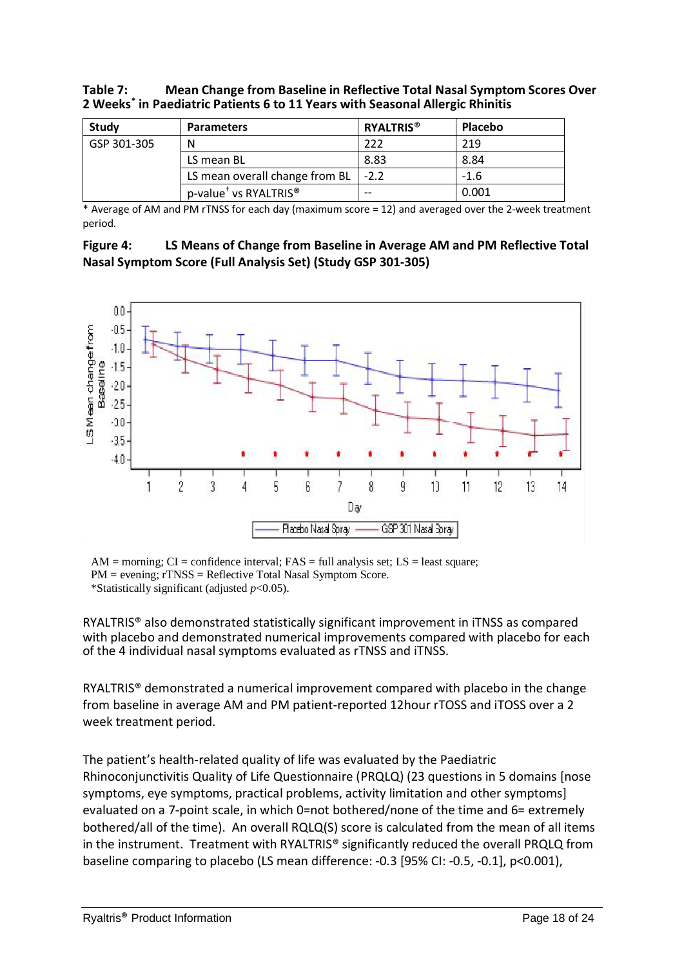#### **Table 7: Mean Change from Baseline in Reflective Total Nasal Symptom Scores Over 2 Weeks\* in Paediatric Patients 6 to 11 Years with Seasonal Allergic Rhinitis**

| Study       | <b>Parameters</b>                             | <b>RYALTRIS<sup>®</sup></b> | <b>Placebo</b> |
|-------------|-----------------------------------------------|-----------------------------|----------------|
| GSP 301-305 | N                                             | 222                         | 219            |
|             | LS mean BL                                    | 8.83                        | 8.84           |
|             | LS mean overall change from BL                | $-2.2$                      | $-1.6$         |
|             | p-value <sup>†</sup> vs RYALTRIS <sup>®</sup> | $-$                         | 0.001          |

 $*$  Average of AM and PM rTNSS for each day (maximum score = 12) and averaged over the 2-week treatment period.

| Figure 4: | LS Means of Change from Baseline in Average AM and PM Reflective Total |
|-----------|------------------------------------------------------------------------|
|           | Nasal Symptom Score (Full Analysis Set) (Study GSP 301-305)            |



 $AM =$  morning;  $CI =$  confidence interval;  $FAS =$  full analysis set;  $LS =$  least square; PM = evening; rTNSS = Reflective Total Nasal Symptom Score. \*Statistically significant (adjusted *p*<0.05).

RYALTRIS® also demonstrated statistically significant improvement in iTNSS as compared with placebo and demonstrated numerical improvements compared with placebo for each of the 4 individual nasal symptoms evaluated as rTNSS and iTNSS.

RYALTRIS® demonstrated a numerical improvement compared with placebo in the change from baseline in average AM and PM patient-reported 12hour rTOSS and iTOSS over a 2 week treatment period.

The patient's health-related quality of life was evaluated by the Paediatric Rhinoconjunctivitis Quality of Life Questionnaire (PRQLQ) (23 questions in 5 domains [nose symptoms, eye symptoms, practical problems, activity limitation and other symptoms] evaluated on a 7-point scale, in which 0=not bothered/none of the time and 6= extremely bothered/all of the time). An overall RQLQ(S) score is calculated from the mean of all items in the instrument. Treatment with RYALTRIS® significantly reduced the overall PRQLQ from baseline comparing to placebo (LS mean difference: -0.3 [95% CI: -0.5, -0.1], p<0.001),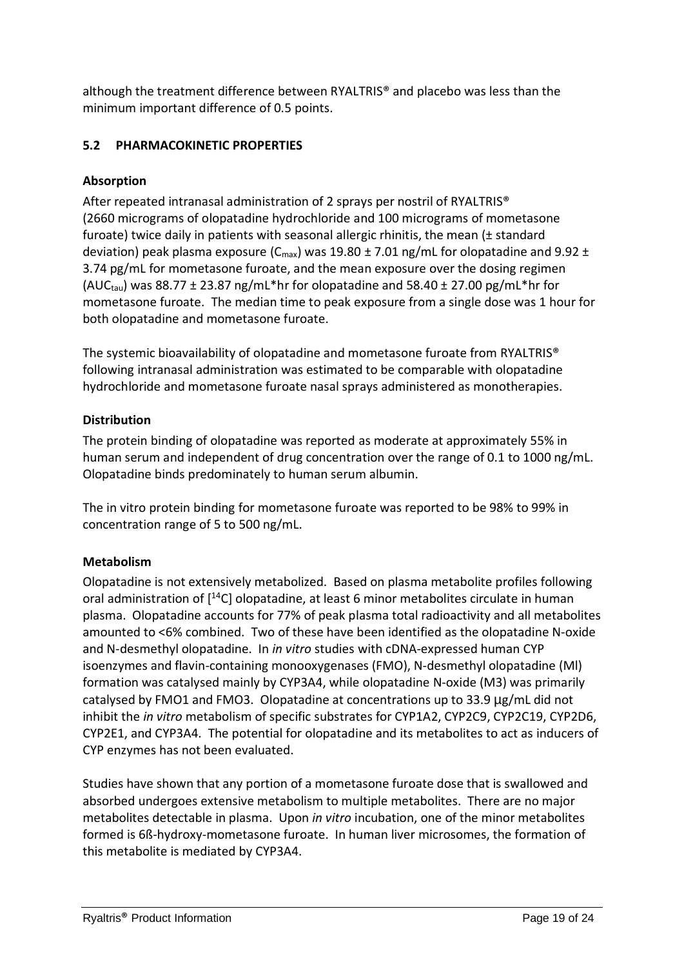although the treatment difference between RYALTRIS® and placebo was less than the minimum important difference of 0.5 points.

# **5.2 PHARMACOKINETIC PROPERTIES**

# **Absorption**

After repeated intranasal administration of 2 sprays per nostril of RYALTRIS® (2660 micrograms of olopatadine hydrochloride and 100 micrograms of mometasone furoate) twice daily in patients with seasonal allergic rhinitis, the mean (± standard deviation) peak plasma exposure ( $C_{\text{max}}$ ) was 19.80  $\pm$  7.01 ng/mL for olopatadine and 9.92  $\pm$ 3.74 pg/mL for mometasone furoate, and the mean exposure over the dosing regimen (AUC<sub>tau</sub>) was 88.77  $\pm$  23.87 ng/mL\*hr for olopatadine and 58.40  $\pm$  27.00 pg/mL\*hr for mometasone furoate. The median time to peak exposure from a single dose was 1 hour for both olopatadine and mometasone furoate.

The systemic bioavailability of olopatadine and mometasone furoate from RYALTRIS® following intranasal administration was estimated to be comparable with olopatadine hydrochloride and mometasone furoate nasal sprays administered as monotherapies.

# **Distribution**

The protein binding of olopatadine was reported as moderate at approximately 55% in human serum and independent of drug concentration over the range of 0.1 to 1000 ng/mL. Olopatadine binds predominately to human serum albumin.

The in vitro protein binding for mometasone furoate was reported to be 98% to 99% in concentration range of 5 to 500 ng/mL.

# **Metabolism**

Olopatadine is not extensively metabolized. Based on plasma metabolite profiles following oral administration of [14C] olopatadine, at least 6 minor metabolites circulate in human plasma. Olopatadine accounts for 77% of peak plasma total radioactivity and all metabolites amounted to <6% combined. Two of these have been identified as the olopatadine N-oxide and N-desmethyl olopatadine. In *in vitro* studies with cDNA-expressed human CYP isoenzymes and flavin-containing monooxygenases (FMO), N-desmethyl olopatadine (Ml) formation was catalysed mainly by CYP3A4, while olopatadine N-oxide (M3) was primarily catalysed by FMO1 and FMO3. Olopatadine at concentrations up to 33.9 µg/mL did not inhibit the *in vitro* metabolism of specific substrates for CYP1A2, CYP2C9, CYP2C19, CYP2D6, CYP2E1, and CYP3A4. The potential for olopatadine and its metabolites to act as inducers of CYP enzymes has not been evaluated.

Studies have shown that any portion of a mometasone furoate dose that is swallowed and absorbed undergoes extensive metabolism to multiple metabolites. There are no major metabolites detectable in plasma. Upon *in vitro* incubation, one of the minor metabolites formed is 6ß-hydroxy-mometasone furoate. In human liver microsomes, the formation of this metabolite is mediated by CYP3A4.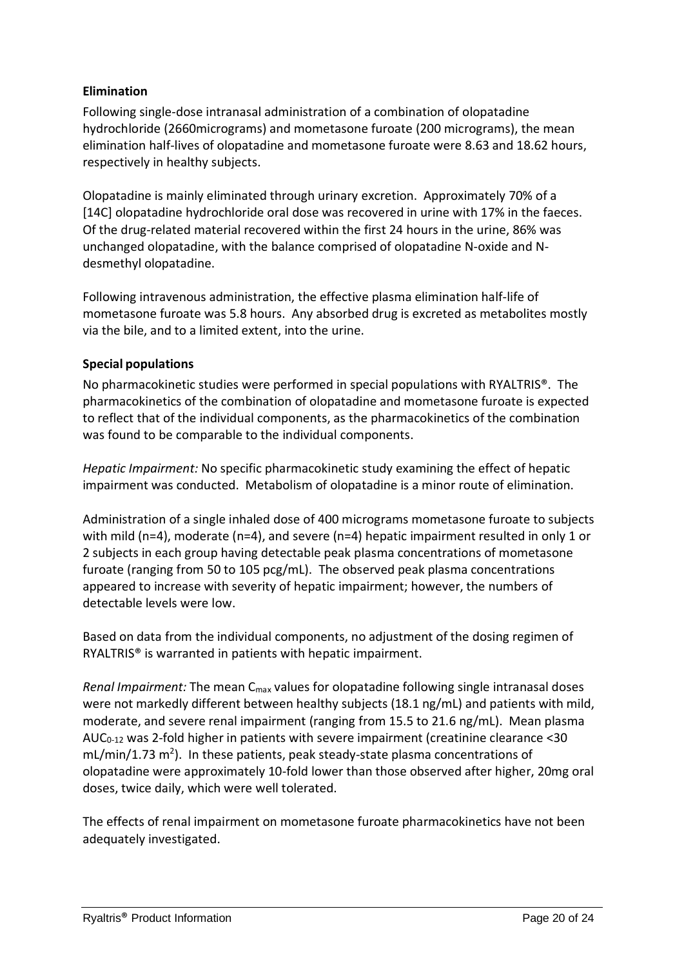# **Elimination**

Following single-dose intranasal administration of a combination of olopatadine hydrochloride (2660micrograms) and mometasone furoate (200 micrograms), the mean elimination half-lives of olopatadine and mometasone furoate were 8.63 and 18.62 hours, respectively in healthy subjects.

Olopatadine is mainly eliminated through urinary excretion. Approximately 70% of a [14C] olopatadine hydrochloride oral dose was recovered in urine with 17% in the faeces. Of the drug-related material recovered within the first 24 hours in the urine, 86% was unchanged olopatadine, with the balance comprised of olopatadine N-oxide and Ndesmethyl olopatadine.

Following intravenous administration, the effective plasma elimination half-life of mometasone furoate was 5.8 hours. Any absorbed drug is excreted as metabolites mostly via the bile, and to a limited extent, into the urine.

### **Special populations**

No pharmacokinetic studies were performed in special populations with RYALTRIS®. The pharmacokinetics of the combination of olopatadine and mometasone furoate is expected to reflect that of the individual components, as the pharmacokinetics of the combination was found to be comparable to the individual components.

*Hepatic Impairment:* No specific pharmacokinetic study examining the effect of hepatic impairment was conducted. Metabolism of olopatadine is a minor route of elimination.

Administration of a single inhaled dose of 400 micrograms mometasone furoate to subjects with mild (n=4), moderate (n=4), and severe (n=4) hepatic impairment resulted in only 1 or 2 subjects in each group having detectable peak plasma concentrations of mometasone furoate (ranging from 50 to 105 pcg/mL). The observed peak plasma concentrations appeared to increase with severity of hepatic impairment; however, the numbers of detectable levels were low.

Based on data from the individual components, no adjustment of the dosing regimen of RYALTRIS® is warranted in patients with hepatic impairment.

*Renal Impairment:* The mean C<sub>max</sub> values for olopatadine following single intranasal doses were not markedly different between healthy subjects (18.1 ng/mL) and patients with mild, moderate, and severe renal impairment (ranging from 15.5 to 21.6 ng/mL). Mean plasma AUC0-12 was 2-fold higher in patients with severe impairment (creatinine clearance <30  $mL/min/1.73 m<sup>2</sup>$ ). In these patients, peak steady-state plasma concentrations of olopatadine were approximately 10-fold lower than those observed after higher, 20mg oral doses, twice daily, which were well tolerated.

The effects of renal impairment on mometasone furoate pharmacokinetics have not been adequately investigated.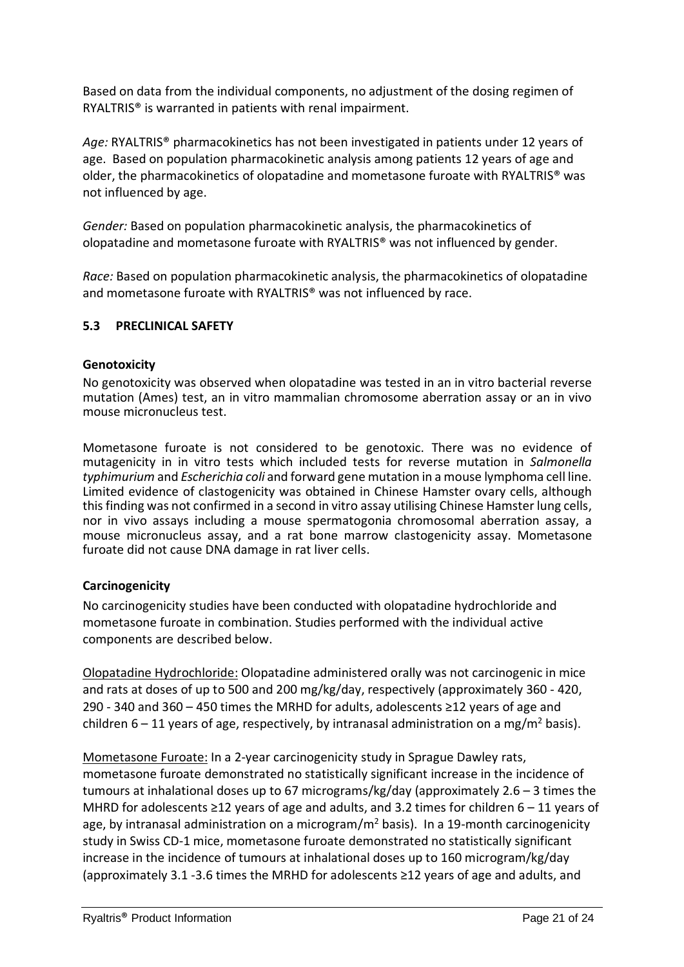Based on data from the individual components, no adjustment of the dosing regimen of RYALTRIS® is warranted in patients with renal impairment.

Age: RYALTRIS<sup>®</sup> pharmacokinetics has not been investigated in patients under 12 years of age. Based on population pharmacokinetic analysis among patients 12 years of age and older, the pharmacokinetics of olopatadine and mometasone furoate with RYALTRIS® was not influenced by age.

*Gender:* Based on population pharmacokinetic analysis, the pharmacokinetics of olopatadine and mometasone furoate with RYALTRIS® was not influenced by gender.

*Race:* Based on population pharmacokinetic analysis, the pharmacokinetics of olopatadine and mometasone furoate with RYALTRIS® was not influenced by race.

### **5.3 PRECLINICAL SAFETY**

#### **Genotoxicity**

No genotoxicity was observed when olopatadine was tested in an in vitro bacterial reverse mutation (Ames) test, an in vitro mammalian chromosome aberration assay or an in vivo mouse micronucleus test.

Mometasone furoate is not considered to be genotoxic. There was no evidence of mutagenicity in in vitro tests which included tests for reverse mutation in *Salmonella typhimurium* and *Escherichia coli* and forward gene mutation in a mouse lymphoma cell line. Limited evidence of clastogenicity was obtained in Chinese Hamster ovary cells, although this finding was not confirmed in a second in vitro assay utilising Chinese Hamster lung cells, nor in vivo assays including a mouse spermatogonia chromosomal aberration assay, a mouse micronucleus assay, and a rat bone marrow clastogenicity assay. Mometasone furoate did not cause DNA damage in rat liver cells.

#### **Carcinogenicity**

No carcinogenicity studies have been conducted with olopatadine hydrochloride and mometasone furoate in combination. Studies performed with the individual active components are described below.

Olopatadine Hydrochloride: Olopatadine administered orally was not carcinogenic in mice and rats at doses of up to 500 and 200 mg/kg/day, respectively (approximately 360 - 420, 290 - 340 and 360 – 450 times the MRHD for adults, adolescents ≥12 years of age and children  $6 - 11$  years of age, respectively, by intranasal administration on a mg/m<sup>2</sup> basis).

Mometasone Furoate: In a 2-year carcinogenicity study in Sprague Dawley rats, mometasone furoate demonstrated no statistically significant increase in the incidence of tumours at inhalational doses up to 67 micrograms/kg/day (approximately 2.6 – 3 times the MHRD for adolescents  $\geq$ 12 years of age and adults, and 3.2 times for children 6 – 11 years of age, by intranasal administration on a microgram/ $m<sup>2</sup>$  basis). In a 19-month carcinogenicity study in Swiss CD-1 mice, mometasone furoate demonstrated no statistically significant increase in the incidence of tumours at inhalational doses up to 160 microgram/kg/day (approximately 3.1 -3.6 times the MRHD for adolescents ≥12 years of age and adults, and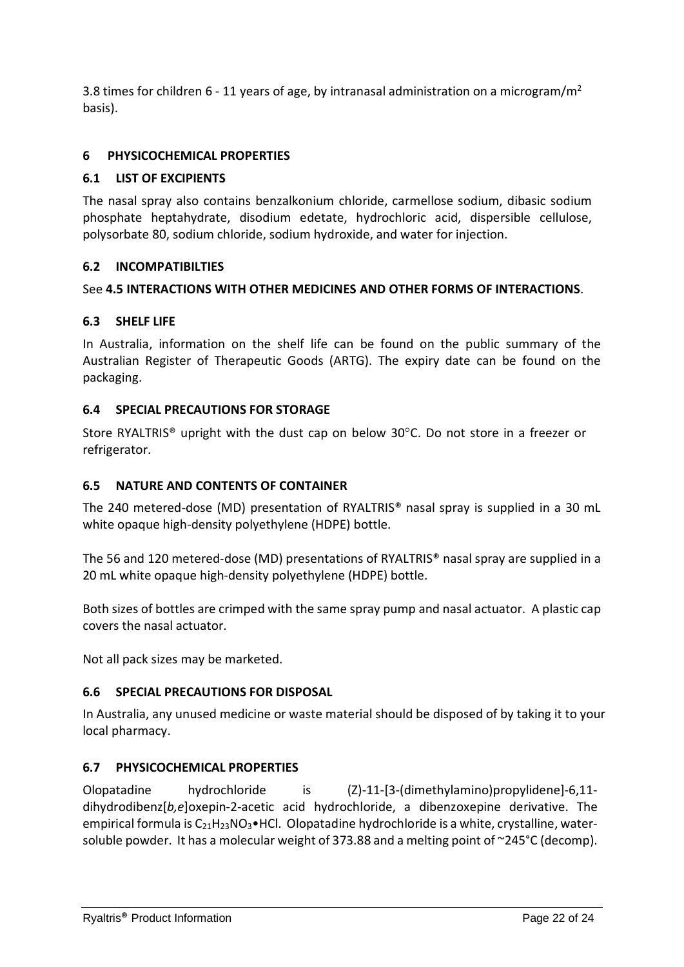3.8 times for children 6 - 11 years of age, by intranasal administration on a microgram/ $m<sup>2</sup>$ basis).

# **6 PHYSICOCHEMICAL PROPERTIES**

## **6.1 LIST OF EXCIPIENTS**

The nasal spray also contains benzalkonium chloride, carmellose sodium, dibasic sodium phosphate heptahydrate, disodium edetate, hydrochloric acid, dispersible cellulose, polysorbate 80, sodium chloride, sodium hydroxide, and water for injection.

### **6.2 INCOMPATIBILTIES**

### See **4.5 INTERACTIONS WITH OTHER MEDICINES AND OTHER FORMS OF INTERACTIONS**.

### **6.3 SHELF LIFE**

In Australia, information on the shelf life can be found on the public summary of the Australian Register of Therapeutic Goods (ARTG). The expiry date can be found on the packaging.

### **6.4 SPECIAL PRECAUTIONS FOR STORAGE**

Store RYALTRIS® upright with the dust cap on below 30°C. Do not store in a freezer or refrigerator.

### **6.5 NATURE AND CONTENTS OF CONTAINER**

The 240 metered-dose (MD) presentation of RYALTRIS® nasal spray is supplied in a 30 mL white opaque high-density polyethylene (HDPE) bottle.

The 56 and 120 metered-dose (MD) presentations of RYALTRIS® nasal spray are supplied in a 20 mL white opaque high-density polyethylene (HDPE) bottle.

Both sizes of bottles are crimped with the same spray pump and nasal actuator. A plastic cap covers the nasal actuator.

Not all pack sizes may be marketed.

### **6.6 SPECIAL PRECAUTIONS FOR DISPOSAL**

In Australia, any unused medicine or waste material should be disposed of by taking it to your local pharmacy.

### **6.7 PHYSICOCHEMICAL PROPERTIES**

Olopatadine hydrochloride is (Z)-11-[3-(dimethylamino)propylidene]-6,11 dihydrodibenz[*b,e*]oxepin-2-acetic acid hydrochloride, a dibenzoxepine derivative. The empirical formula is  $C_{21}H_{23}NO_3\bullet$  HCl. Olopatadine hydrochloride is a white, crystalline, watersoluble powder. It has a molecular weight of 373.88 and a melting point of ~245°C (decomp).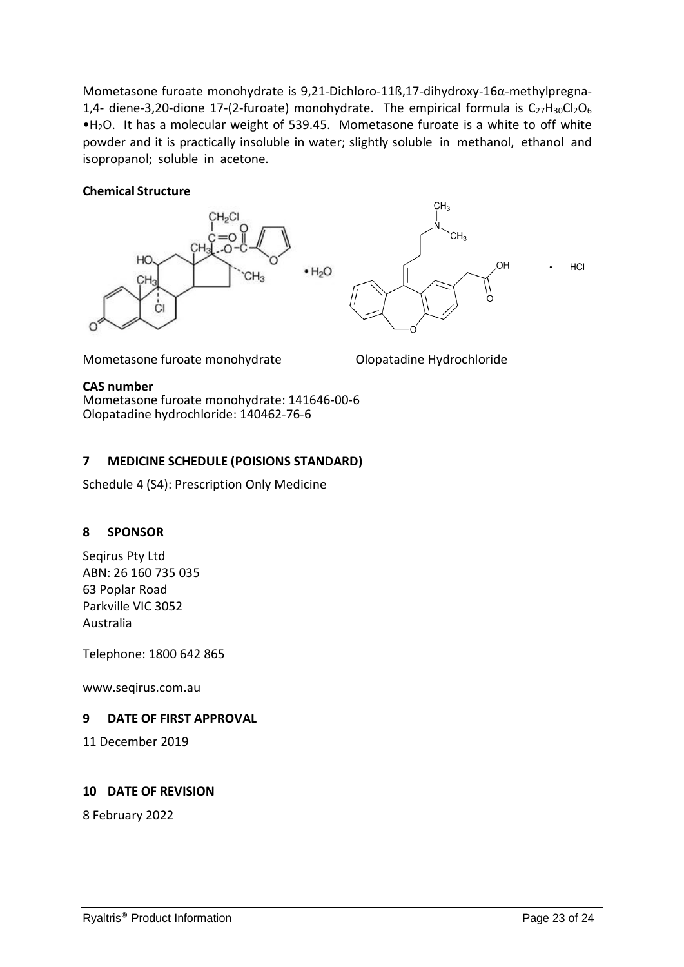Mometasone furoate monohydrate is 9,21-Dichloro-11ß,17-dihydroxy-16α-methylpregna-1,4- diene-3,20-dione 17-(2-furoate) monohydrate. The empirical formula is  $C_{27}H_{30}Cl_2O_6$ •H2O. It has a molecular weight of 539.45. Mometasone furoate is a white to off white powder and it is practically insoluble in water; slightly soluble in methanol, ethanol and isopropanol; soluble in acetone.

#### **Chemical Structure**





HCI

Mometasone furoate monohydrate **Olopatadine Hydrochloride** 

#### **CAS number**

Mometasone furoate monohydrate: 141646-00-6 Olopatadine hydrochloride: 140462-76-6

### **7 MEDICINE SCHEDULE (POISIONS STANDARD)**

Schedule 4 (S4): Prescription Only Medicine

### **8 SPONSOR**

Seqirus Pty Ltd ABN: 26 160 735 035 63 Poplar Road Parkville VIC 3052 Australia

Telephone: 1800 642 865

www.seqirus.com.au

### **9 DATE OF FIRST APPROVAL**

11 December 2019

#### **10 DATE OF REVISION**

8 February 2022